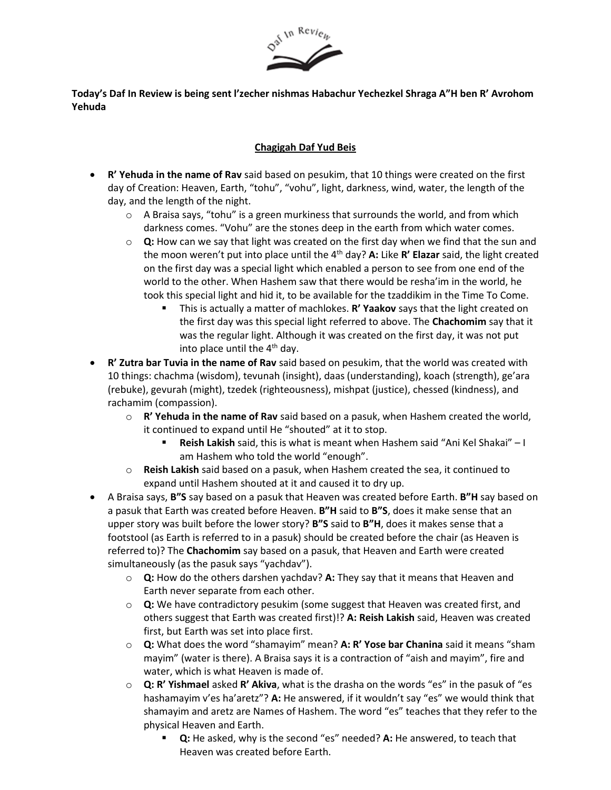

**Today's Daf In Review is being sent l'zecher nishmas Habachur Yechezkel Shraga A"H ben R' Avrohom Yehuda**

## **Chagigah Daf Yud Beis**

- **R' Yehuda in the name of Rav** said based on pesukim, that 10 things were created on the first day of Creation: Heaven, Earth, "tohu", "vohu", light, darkness, wind, water, the length of the day, and the length of the night.
	- $\circ$  A Braisa says, "tohu" is a green murkiness that surrounds the world, and from which darkness comes. "Vohu" are the stones deep in the earth from which water comes.
	- o **Q:** How can we say that light was created on the first day when we find that the sun and the moon weren't put into place until the 4th day? **A:** Like **R' Elazar** said, the light created on the first day was a special light which enabled a person to see from one end of the world to the other. When Hashem saw that there would be resha'im in the world, he took this special light and hid it, to be available for the tzaddikim in the Time To Come.
		- This is actually a matter of machlokes. **R' Yaakov** says that the light created on the first day was this special light referred to above. The **Chachomim** say that it was the regular light. Although it was created on the first day, it was not put into place until the  $4<sup>th</sup>$  day.
- **R' Zutra bar Tuvia in the name of Rav** said based on pesukim, that the world was created with 10 things: chachma (wisdom), tevunah (insight), daas (understanding), koach (strength), ge'ara (rebuke), gevurah (might), tzedek (righteousness), mishpat (justice), chessed (kindness), and rachamim (compassion).
	- o **R' Yehuda in the name of Rav** said based on a pasuk, when Hashem created the world, it continued to expand until He "shouted" at it to stop.
		- **Reish Lakish** said, this is what is meant when Hashem said "Ani Kel Shakai" I am Hashem who told the world "enough".
	- o **Reish Lakish** said based on a pasuk, when Hashem created the sea, it continued to expand until Hashem shouted at it and caused it to dry up.
- A Braisa says, **B"S** say based on a pasuk that Heaven was created before Earth. **B"H** say based on a pasuk that Earth was created before Heaven. **B"H** said to **B"S**, does it make sense that an upper story was built before the lower story? **B"S** said to **B"H**, does it makes sense that a footstool (as Earth is referred to in a pasuk) should be created before the chair (as Heaven is referred to)? The **Chachomim** say based on a pasuk, that Heaven and Earth were created simultaneously (as the pasuk says "yachdav").
	- o **Q:** How do the others darshen yachdav? **A:** They say that it means that Heaven and Earth never separate from each other.
	- o **Q:** We have contradictory pesukim (some suggest that Heaven was created first, and others suggest that Earth was created first)!? **A: Reish Lakish** said, Heaven was created first, but Earth was set into place first.
	- o **Q:** What does the word "shamayim" mean? **A: R' Yose bar Chanina** said it means "sham mayim" (water is there). A Braisa says it is a contraction of "aish and mayim", fire and water, which is what Heaven is made of.
	- o **Q: R' Yishmael** asked **R' Akiva**, what is the drasha on the words "es" in the pasuk of "es hashamayim v'es ha'aretz"? **A:** He answered, if it wouldn't say "es" we would think that shamayim and aretz are Names of Hashem. The word "es" teaches that they refer to the physical Heaven and Earth.
		- **Q:** He asked, why is the second "es" needed? A: He answered, to teach that Heaven was created before Earth.